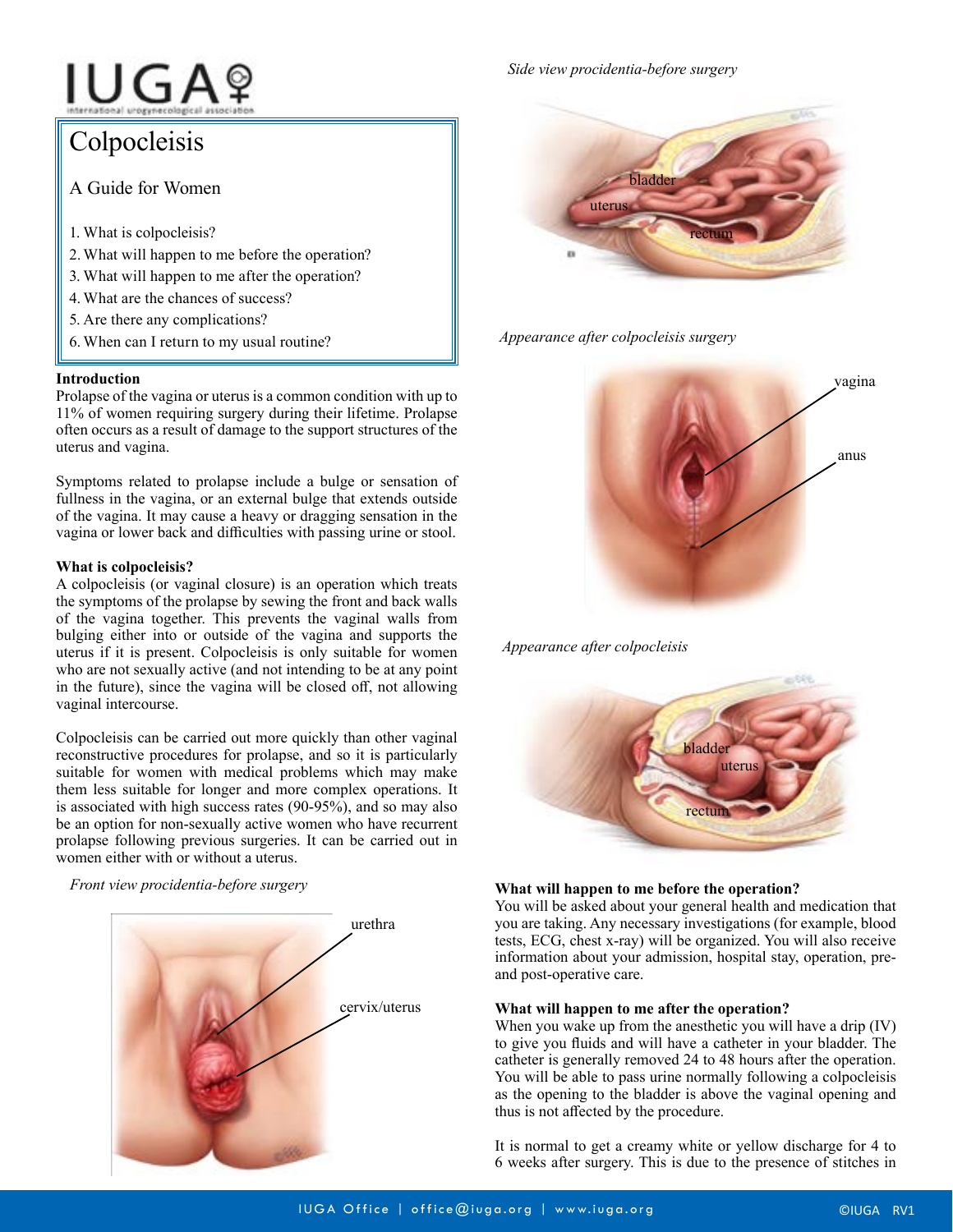# IUGAº

# Colpocleisis

A Guide for Women

- 1. What is colpocleisis?
- 2.What will happen to me before the operation?
- 3. What will happen to me after the operation?
- 4. What are the chances of success?
- 5. Are there any complications?
- 6.When can I return to my usual routine?

### **Introduction**

Prolapse of the vagina or uterus is a common condition with up to 11% of women requiring surgery during their lifetime. Prolapse often occurs as a result of damage to the support structures of the uterus and vagina.

Symptoms related to prolapse include a bulge or sensation of fullness in the vagina, or an external bulge that extends outside of the vagina. It may cause a heavy or dragging sensation in the vagina or lower back and difficulties with passing urine or stool.

## **What is colpocleisis?**

A colpocleisis (or vaginal closure) is an operation which treats the symptoms of the prolapse by sewing the front and back walls of the vagina together. This prevents the vaginal walls from bulging either into or outside of the vagina and supports the uterus if it is present. Colpocleisis is only suitable for women who are not sexually active (and not intending to be at any point in the future), since the vagina will be closed off, not allowing vaginal intercourse.

Colpocleisis can be carried out more quickly than other vaginal reconstructive procedures for prolapse, and so it is particularly suitable for women with medical problems which may make them less suitable for longer and more complex operations. It is associated with high success rates (90-95%), and so may also be an option for non-sexually active women who have recurrent prolapse following previous surgeries. It can be carried out in women either with or without a uterus.

# *Front view procidentia-before surgery*



*Side view procidentia-before surgery*



*Appearance after colpocleisis surgery*



*Appearance after colpocleisis*



### **What will happen to me before the operation?**

You will be asked about your general health and medication that you are taking. Any necessary investigations (for example, blood tests, ECG, chest x-ray) will be organized. You will also receive information about your admission, hospital stay, operation, preand post-operative care.

### **What will happen to me after the operation?**

When you wake up from the anesthetic you will have a drip (IV) to give you fluids and will have a catheter in your bladder. The catheter is generally removed 24 to 48 hours after the operation. You will be able to pass urine normally following a colpocleisis as the opening to the bladder is above the vaginal opening and thus is not affected by the procedure.

It is normal to get a creamy white or yellow discharge for 4 to 6 weeks after surgery. This is due to the presence of stitches in